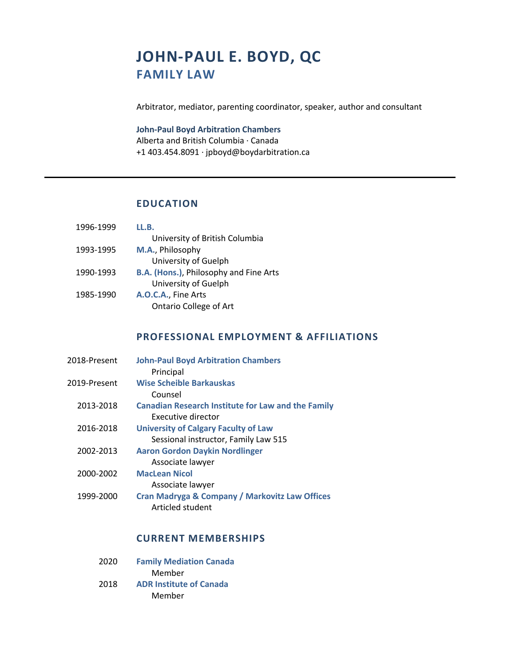# **JOHN-PAUL E. BOYD, QC FAMILY LAW**

Arbitrator, mediator, parenting coordinator, speaker, author and consultant

### **John-Paul Boyd Arbitration Chambers**

Alberta and British Columbia · Canada +1 403.454.8091 · jpboyd@boydarbitration.ca

# **EDUCATION**

| 1996-1999 | LL.B.                                         |
|-----------|-----------------------------------------------|
|           | University of British Columbia                |
| 1993-1995 | M.A., Philosophy                              |
|           | University of Guelph                          |
| 1990-1993 | <b>B.A. (Hons.), Philosophy and Fine Arts</b> |
|           | University of Guelph                          |
| 1985-1990 | A.O.C.A., Fine Arts                           |
|           | <b>Ontario College of Art</b>                 |

# **PROFESSIONAL EMPLOYMENT & AFFILIATIONS**

| 2018-Present | <b>John-Paul Boyd Arbitration Chambers</b>                |
|--------------|-----------------------------------------------------------|
|              | Principal                                                 |
| 2019-Present | Wise Scheible Barkauskas                                  |
|              | Counsel                                                   |
| 2013-2018    | <b>Canadian Research Institute for Law and the Family</b> |
|              | Executive director                                        |
| 2016-2018    | <b>University of Calgary Faculty of Law</b>               |
|              | Sessional instructor, Family Law 515                      |
| 2002-2013    | <b>Aaron Gordon Daykin Nordlinger</b>                     |
|              | Associate lawyer                                          |
| 2000-2002    | <b>MacLean Nicol</b>                                      |
|              | Associate lawyer                                          |
| 1999-2000    | Cran Madryga & Company / Markovitz Law Offices            |
|              | Articled student                                          |

# **CURRENT MEMBERSHIPS**

| 2020 | <b>Family Mediation Canada</b> |
|------|--------------------------------|
|      | Member                         |
| 2018 | <b>ADR Institute of Canada</b> |
|      | Member                         |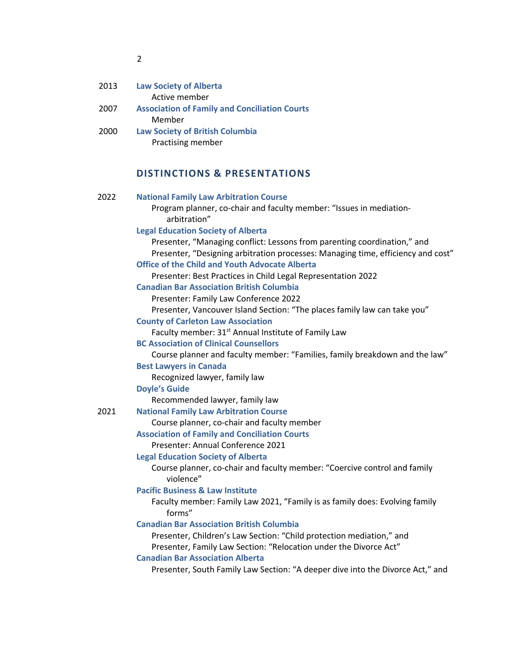| 2013 | <b>Law Society of Alberta</b><br>Active member       |  |
|------|------------------------------------------------------|--|
|      |                                                      |  |
| 2007 | <b>Association of Family and Conciliation Courts</b> |  |
|      | Member                                               |  |
| 2000 | <b>Law Society of British Columbia</b>               |  |
|      | Practising member                                    |  |

# **DISTINCTIONS & PRESENTATIONS**

| 2022 | <b>National Family Law Arbitration Course</b>                                                                                                                |
|------|--------------------------------------------------------------------------------------------------------------------------------------------------------------|
|      | Program planner, co-chair and faculty member: "Issues in mediation-<br>arbitration"                                                                          |
|      | <b>Legal Education Society of Alberta</b>                                                                                                                    |
|      | Presenter, "Managing conflict: Lessons from parenting coordination," and<br>Presenter, "Designing arbitration processes: Managing time, efficiency and cost" |
|      | <b>Office of the Child and Youth Advocate Alberta</b>                                                                                                        |
|      | Presenter: Best Practices in Child Legal Representation 2022                                                                                                 |
|      | <b>Canadian Bar Association British Columbia</b>                                                                                                             |
|      | Presenter: Family Law Conference 2022                                                                                                                        |
|      | Presenter, Vancouver Island Section: "The places family law can take you"                                                                                    |
|      | <b>County of Carleton Law Association</b>                                                                                                                    |
|      | Faculty member: 31 <sup>st</sup> Annual Institute of Family Law                                                                                              |
|      | <b>BC Association of Clinical Counsellors</b>                                                                                                                |
|      | Course planner and faculty member: "Families, family breakdown and the law"                                                                                  |
|      | <b>Best Lawyers in Canada</b>                                                                                                                                |
|      | Recognized lawyer, family law                                                                                                                                |
|      | <b>Doyle's Guide</b>                                                                                                                                         |
|      | Recommended lawyer, family law                                                                                                                               |
| 2021 | <b>National Family Law Arbitration Course</b>                                                                                                                |
|      | Course planner, co-chair and faculty member                                                                                                                  |
|      | <b>Association of Family and Conciliation Courts</b>                                                                                                         |
|      | Presenter: Annual Conference 2021                                                                                                                            |
|      | <b>Legal Education Society of Alberta</b>                                                                                                                    |
|      | Course planner, co-chair and faculty member: "Coercive control and family<br>violence"                                                                       |
|      | <b>Pacific Business &amp; Law Institute</b>                                                                                                                  |
|      | Faculty member: Family Law 2021, "Family is as family does: Evolving family<br>forms"                                                                        |
|      | <b>Canadian Bar Association British Columbia</b>                                                                                                             |
|      | Presenter, Children's Law Section: "Child protection mediation," and                                                                                         |
|      | Presenter, Family Law Section: "Relocation under the Divorce Act"                                                                                            |
|      | <b>Canadian Bar Association Alberta</b>                                                                                                                      |
|      | Presenter, South Family Law Section: "A deeper dive into the Divorce Act," and                                                                               |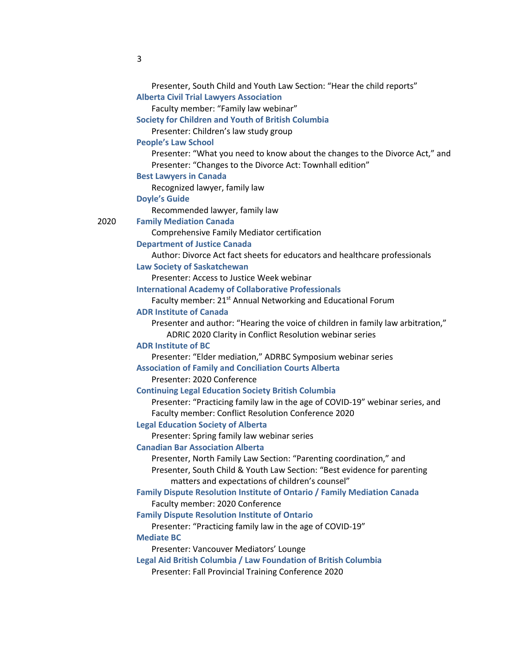|      | Presenter, South Child and Youth Law Section: "Hear the child reports"                                                                      |
|------|---------------------------------------------------------------------------------------------------------------------------------------------|
|      | <b>Alberta Civil Trial Lawyers Association</b>                                                                                              |
|      | Faculty member: "Family law webinar"                                                                                                        |
|      | <b>Society for Children and Youth of British Columbia</b>                                                                                   |
|      | Presenter: Children's law study group                                                                                                       |
|      | <b>People's Law School</b>                                                                                                                  |
|      | Presenter: "What you need to know about the changes to the Divorce Act," and                                                                |
|      | Presenter: "Changes to the Divorce Act: Townhall edition"                                                                                   |
|      | <b>Best Lawyers in Canada</b>                                                                                                               |
|      | Recognized lawyer, family law                                                                                                               |
|      | <b>Doyle's Guide</b>                                                                                                                        |
|      | Recommended lawyer, family law                                                                                                              |
| 2020 | <b>Family Mediation Canada</b>                                                                                                              |
|      | Comprehensive Family Mediator certification                                                                                                 |
|      | <b>Department of Justice Canada</b>                                                                                                         |
|      | Author: Divorce Act fact sheets for educators and healthcare professionals                                                                  |
|      | <b>Law Society of Saskatchewan</b>                                                                                                          |
|      | Presenter: Access to Justice Week webinar                                                                                                   |
|      | <b>International Academy of Collaborative Professionals</b>                                                                                 |
|      | Faculty member: 21 <sup>st</sup> Annual Networking and Educational Forum                                                                    |
|      | <b>ADR Institute of Canada</b>                                                                                                              |
|      | Presenter and author: "Hearing the voice of children in family law arbitration,"                                                            |
|      | ADRIC 2020 Clarity in Conflict Resolution webinar series                                                                                    |
|      | <b>ADR Institute of BC</b>                                                                                                                  |
|      | Presenter: "Elder mediation," ADRBC Symposium webinar series                                                                                |
|      | <b>Association of Family and Conciliation Courts Alberta</b><br>Presenter: 2020 Conference                                                  |
|      |                                                                                                                                             |
|      | <b>Continuing Legal Education Society British Columbia</b><br>Presenter: "Practicing family law in the age of COVID-19" webinar series, and |
|      | Faculty member: Conflict Resolution Conference 2020                                                                                         |
|      | <b>Legal Education Society of Alberta</b>                                                                                                   |
|      | Presenter: Spring family law webinar series                                                                                                 |
|      | <b>Canadian Bar Association Alberta</b>                                                                                                     |
|      | Presenter, North Family Law Section: "Parenting coordination," and                                                                          |
|      | Presenter, South Child & Youth Law Section: "Best evidence for parenting                                                                    |
|      | matters and expectations of children's counsel"                                                                                             |
|      | Family Dispute Resolution Institute of Ontario / Family Mediation Canada                                                                    |
|      | Faculty member: 2020 Conference                                                                                                             |
|      | <b>Family Dispute Resolution Institute of Ontario</b>                                                                                       |
|      | Presenter: "Practicing family law in the age of COVID-19"                                                                                   |
|      | <b>Mediate BC</b>                                                                                                                           |
|      | Presenter: Vancouver Mediators' Lounge                                                                                                      |
|      | Legal Aid British Columbia / Law Foundation of British Columbia                                                                             |
|      | Presenter: Fall Provincial Training Conference 2020                                                                                         |
|      |                                                                                                                                             |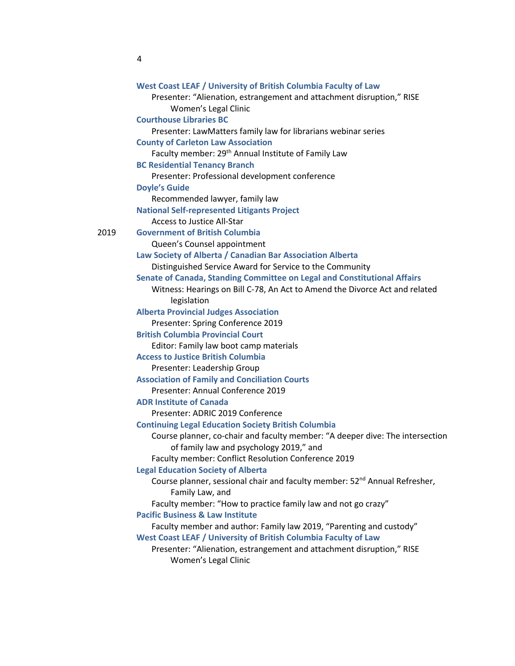|      | West Coast LEAF / University of British Columbia Faculty of Law                                           |
|------|-----------------------------------------------------------------------------------------------------------|
|      | Presenter: "Alienation, estrangement and attachment disruption," RISE                                     |
|      | Women's Legal Clinic                                                                                      |
|      | <b>Courthouse Libraries BC</b>                                                                            |
|      | Presenter: LawMatters family law for librarians webinar series                                            |
|      | <b>County of Carleton Law Association</b>                                                                 |
|      | Faculty member: 29 <sup>th</sup> Annual Institute of Family Law                                           |
|      | <b>BC Residential Tenancy Branch</b>                                                                      |
|      | Presenter: Professional development conference                                                            |
|      | <b>Doyle's Guide</b>                                                                                      |
|      | Recommended lawyer, family law                                                                            |
|      | <b>National Self-represented Litigants Project</b>                                                        |
|      | <b>Access to Justice All-Star</b>                                                                         |
| 2019 | <b>Government of British Columbia</b>                                                                     |
|      | Queen's Counsel appointment                                                                               |
|      | Law Society of Alberta / Canadian Bar Association Alberta                                                 |
|      | Distinguished Service Award for Service to the Community                                                  |
|      | Senate of Canada, Standing Committee on Legal and Constitutional Affairs                                  |
|      | Witness: Hearings on Bill C-78, An Act to Amend the Divorce Act and related<br>legislation                |
|      | <b>Alberta Provincial Judges Association</b>                                                              |
|      | Presenter: Spring Conference 2019                                                                         |
|      | <b>British Columbia Provincial Court</b>                                                                  |
|      | Editor: Family law boot camp materials                                                                    |
|      | <b>Access to Justice British Columbia</b>                                                                 |
|      | Presenter: Leadership Group                                                                               |
|      | <b>Association of Family and Conciliation Courts</b>                                                      |
|      | Presenter: Annual Conference 2019                                                                         |
|      | <b>ADR Institute of Canada</b>                                                                            |
|      | Presenter: ADRIC 2019 Conference                                                                          |
|      | <b>Continuing Legal Education Society British Columbia</b>                                                |
|      | Course planner, co-chair and faculty member: "A deeper dive: The intersection                             |
|      | of family law and psychology 2019," and                                                                   |
|      | Faculty member: Conflict Resolution Conference 2019                                                       |
|      | <b>Legal Education Society of Alberta</b>                                                                 |
|      | Course planner, sessional chair and faculty member: 52 <sup>nd</sup> Annual Refresher,<br>Family Law, and |
|      | Faculty member: "How to practice family law and not go crazy"                                             |
|      | <b>Pacific Business &amp; Law Institute</b>                                                               |
|      | Faculty member and author: Family law 2019, "Parenting and custody"                                       |
|      | West Coast LEAF / University of British Columbia Faculty of Law                                           |
|      | Presenter: "Alienation, estrangement and attachment disruption," RISE                                     |
|      | Women's Legal Clinic                                                                                      |
|      |                                                                                                           |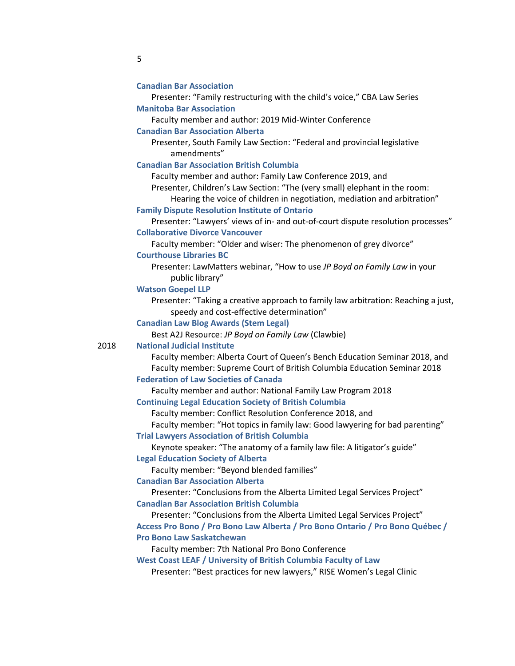| <b>Canadian Bar Association</b> |  |  |
|---------------------------------|--|--|
|                                 |  |  |

Presenter: "Family restructuring with the child's voice," CBA Law Series **Manitoba Bar Association**

Faculty member and author: 2019 Mid-Winter Conference

#### **Canadian Bar Association Alberta**

Presenter, South Family Law Section: "Federal and provincial legislative amendments"

**Canadian Bar Association British Columbia**

Faculty member and author: Family Law Conference 2019, and

Presenter, Children's Law Section: "The (very small) elephant in the room:

Hearing the voice of children in negotiation, mediation and arbitration"

#### **Family Dispute Resolution Institute of Ontario**

Presenter: "Lawyers' views of in- and out-of-court dispute resolution processes" **Collaborative Divorce Vancouver**

Faculty member: "Older and wiser: The phenomenon of grey divorce" **Courthouse Libraries BC**

Presenter: LawMatters webinar, "How to use *JP Boyd on Family Law* in your public library"

#### **Watson Goepel LLP**

Presenter: "Taking a creative approach to family law arbitration: Reaching a just, speedy and cost-effective determination"

**Canadian Law Blog Awards (Stem Legal)**

Best A2J Resource: *JP Boyd on Family Law* (Clawbie)

### 2018 **National Judicial Institute**

Faculty member: Alberta Court of Queen's Bench Education Seminar 2018, and Faculty member: Supreme Court of British Columbia Education Seminar 2018

### **Federation of Law Societies of Canada**

Faculty member and author: National Family Law Program 2018

**Continuing Legal Education Society of British Columbia**

Faculty member: Conflict Resolution Conference 2018, and

Faculty member: "Hot topics in family law: Good lawyering for bad parenting"

**Trial Lawyers Association of British Columbia**

Keynote speaker: "The anatomy of a family law file: A litigator's guide" **Legal Education Society of Alberta**

Faculty member: "Beyond blended families"

#### **Canadian Bar Association Alberta**

Presenter: "Conclusions from the Alberta Limited Legal Services Project" **Canadian Bar Association British Columbia**

Presenter: "Conclusions from the Alberta Limited Legal Services Project" **Access Pro Bono / Pro Bono Law Alberta / Pro Bono Ontario / Pro Bono Québec / Pro Bono Law Saskatchewan**

Faculty member: 7th National Pro Bono Conference

**West Coast LEAF / University of British Columbia Faculty of Law**

Presenter: "Best practices for new lawyers," RISE Women's Legal Clinic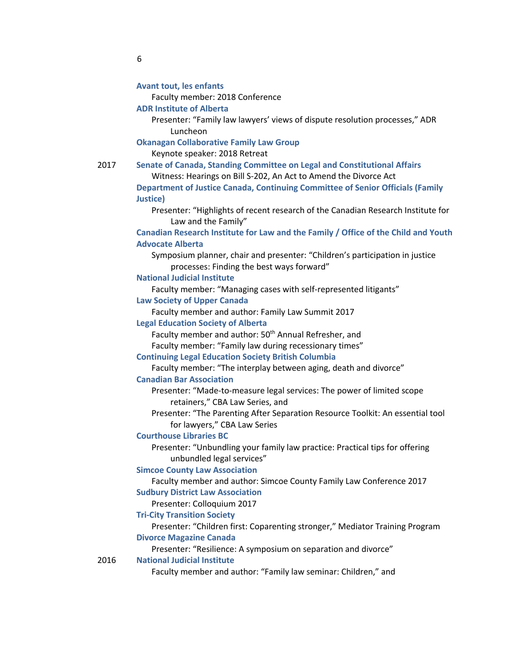Faculty member: 2018 Conference

- **ADR Institute of Alberta**
	- Presenter: "Family law lawyers' views of dispute resolution processes," ADR Luncheon

2017 **Senate of Canada, Standing Committee on Legal and Constitutional Affairs** 

**Okanagan Collaborative Family Law Group**

Keynote speaker: 2018 Retreat

Witness: Hearings on Bill S-202, An Act to Amend the Divorce Act **Department of Justice Canada, Continuing Committee of Senior Officials (Family Justice)** Presenter: "Highlights of recent research of the Canadian Research Institute for Law and the Family" **Canadian Research Institute for Law and the Family / Office of the Child and Youth Advocate Alberta** Symposium planner, chair and presenter: "Children's participation in justice processes: Finding the best ways forward" **National Judicial Institute** Faculty member: "Managing cases with self-represented litigants" **Law Society of Upper Canada** Faculty member and author: Family Law Summit 2017 **Legal Education Society of Alberta** Faculty member and author: 50<sup>th</sup> Annual Refresher, and Faculty member: "Family law during recessionary times" **Continuing Legal Education Society British Columbia** Faculty member: "The interplay between aging, death and divorce" **Canadian Bar Association** Presenter: "Made-to-measure legal services: The power of limited scope retainers," CBA Law Series, and Presenter: "The Parenting After Separation Resource Toolkit: An essential tool for lawyers," CBA Law Series **Courthouse Libraries BC** Presenter: "Unbundling your family law practice: Practical tips for offering unbundled legal services" **Simcoe County Law Association** Faculty member and author: Simcoe County Family Law Conference 2017 **Sudbury District Law Association** Presenter: Colloquium 2017 **Tri-City Transition Society** Presenter: "Children first: Coparenting stronger," Mediator Training Program **Divorce Magazine Canada** Presenter: "Resilience: A symposium on separation and divorce" 2016 **National Judicial Institute** Faculty member and author: "Family law seminar: Children," and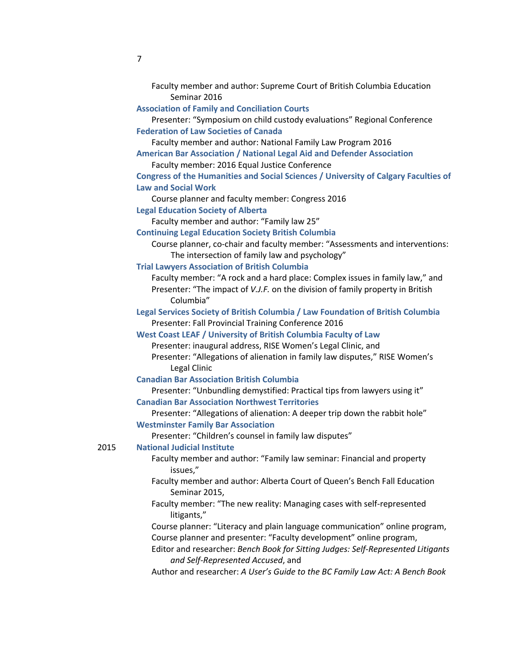| Seminar 2016                                                                        |  |
|-------------------------------------------------------------------------------------|--|
| <b>Association of Family and Conciliation Courts</b>                                |  |
| Presenter: "Symposium on child custody evaluations" Regional Conference             |  |
| <b>Federation of Law Societies of Canada</b>                                        |  |
| Faculty member and author: National Family Law Program 2016                         |  |
| <b>American Bar Association / National Legal Aid and Defender Association</b>       |  |
| Faculty member: 2016 Equal Justice Conference                                       |  |
| Congress of the Humanities and Social Sciences / University of Calgary Faculties of |  |

Faculty member and author: Supreme Court of British Columbia Education

#### **Law and Social Work**

Course planner and faculty member: Congress 2016

**Legal Education Society of Alberta**

Faculty member and author: "Family law 25"

**Continuing Legal Education Society British Columbia**

Course planner, co-chair and faculty member: "Assessments and interventions: The intersection of family law and psychology"

**Trial Lawyers Association of British Columbia**

Faculty member: "A rock and a hard place: Complex issues in family law," and Presenter: "The impact of *V.J.F.* on the division of family property in British Columbia"

**Legal Services Society of British Columbia / Law Foundation of British Columbia** Presenter: Fall Provincial Training Conference 2016

#### **West Coast LEAF / University of British Columbia Faculty of Law**

Presenter: inaugural address, RISE Women's Legal Clinic, and Presenter: "Allegations of alienation in family law disputes," RISE Women's Legal Clinic

#### **Canadian Bar Association British Columbia**

Presenter: "Unbundling demystified: Practical tips from lawyers using it" **Canadian Bar Association Northwest Territories**

Presenter: "Allegations of alienation: A deeper trip down the rabbit hole"

### **Westminster Family Bar Association**

Presenter: "Children's counsel in family law disputes"

### 2015 **National Judicial Institute**

Faculty member and author: "Family law seminar: Financial and property issues,"

- Faculty member and author: Alberta Court of Queen's Bench Fall Education Seminar 2015,
- Faculty member: "The new reality: Managing cases with self-represented litigants,"

Course planner: "Literacy and plain language communication" online program, Course planner and presenter: "Faculty development" online program,

- Editor and researcher: *Bench Book for Sitting Judges: Self-Represented Litigants and Self-Represented Accused*, and
- Author and researcher: *A User's Guide to the BC Family Law Act: A Bench Book*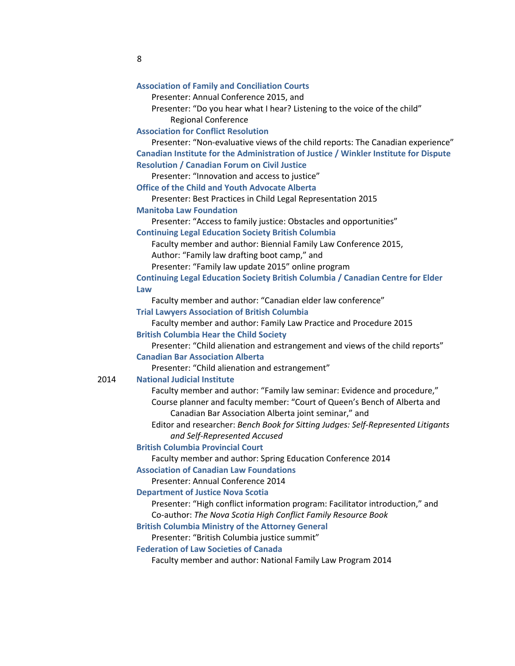|      | <b>Association of Family and Conciliation Courts</b>                                                    |
|------|---------------------------------------------------------------------------------------------------------|
|      | Presenter: Annual Conference 2015, and                                                                  |
|      | Presenter: "Do you hear what I hear? Listening to the voice of the child"<br><b>Regional Conference</b> |
|      | <b>Association for Conflict Resolution</b>                                                              |
|      | Presenter: "Non-evaluative views of the child reports: The Canadian experience"                         |
|      | Canadian Institute for the Administration of Justice / Winkler Institute for Dispute                    |
|      | <b>Resolution / Canadian Forum on Civil Justice</b><br>Presenter: "Innovation and access to justice"    |
|      | <b>Office of the Child and Youth Advocate Alberta</b>                                                   |
|      | Presenter: Best Practices in Child Legal Representation 2015                                            |
|      | <b>Manitoba Law Foundation</b>                                                                          |
|      | Presenter: "Access to family justice: Obstacles and opportunities"                                      |
|      | <b>Continuing Legal Education Society British Columbia</b>                                              |
|      | Faculty member and author: Biennial Family Law Conference 2015,                                         |
|      | Author: "Family law drafting boot camp," and                                                            |
|      | Presenter: "Family law update 2015" online program                                                      |
|      | Continuing Legal Education Society British Columbia / Canadian Centre for Elder                         |
|      | Law                                                                                                     |
|      | Faculty member and author: "Canadian elder law conference"                                              |
|      | <b>Trial Lawyers Association of British Columbia</b>                                                    |
|      | Faculty member and author: Family Law Practice and Procedure 2015                                       |
|      | <b>British Columbia Hear the Child Society</b>                                                          |
|      | Presenter: "Child alienation and estrangement and views of the child reports"                           |
|      | <b>Canadian Bar Association Alberta</b>                                                                 |
|      | Presenter: "Child alienation and estrangement"                                                          |
| 2014 | <b>National Judicial Institute</b>                                                                      |
|      | Faculty member and author: "Family law seminar: Evidence and procedure,"                                |
|      | Course planner and faculty member: "Court of Queen's Bench of Alberta and                               |
|      | Canadian Bar Association Alberta joint seminar," and                                                    |
|      | Editor and researcher: Bench Book for Sitting Judges: Self-Represented Litigants                        |
|      | and Self-Represented Accused                                                                            |
|      | <b>British Columbia Provincial Court</b>                                                                |
|      | Faculty member and author: Spring Education Conference 2014                                             |
|      | <b>Association of Canadian Law Foundations</b>                                                          |
|      | Presenter: Annual Conference 2014                                                                       |
|      | <b>Department of Justice Nova Scotia</b>                                                                |
|      | Presenter: "High conflict information program: Facilitator introduction," and                           |
|      | Co-author: The Nova Scotia High Conflict Family Resource Book                                           |
|      | <b>British Columbia Ministry of the Attorney General</b>                                                |
|      | Presenter: "British Columbia justice summit"                                                            |
|      | <b>Federation of Law Societies of Canada</b>                                                            |
|      | Faculty member and author: National Family Law Program 2014                                             |
|      |                                                                                                         |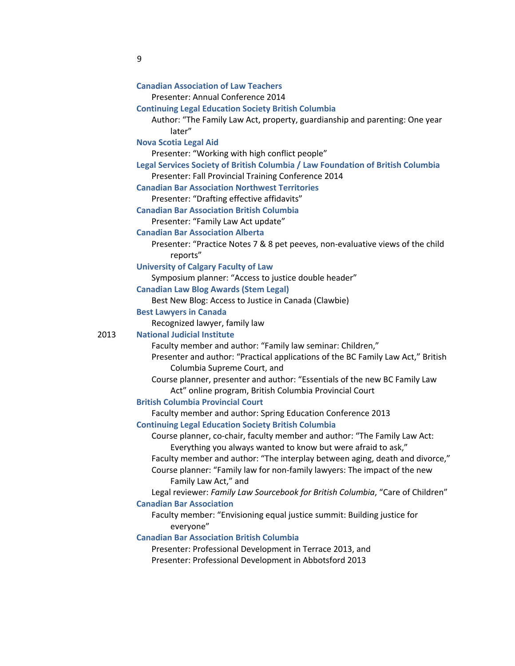| <b>Canadian Association of Law Teachers</b>                                                                        |
|--------------------------------------------------------------------------------------------------------------------|
| Presenter: Annual Conference 2014                                                                                  |
| <b>Continuing Legal Education Society British Columbia</b>                                                         |
| Author: "The Family Law Act, property, guardianship and parenting: One year                                        |
| later"                                                                                                             |
| <b>Nova Scotia Legal Aid</b>                                                                                       |
| Presenter: "Working with high conflict people"                                                                     |
| Legal Services Society of British Columbia / Law Foundation of British Columbia                                    |
| Presenter: Fall Provincial Training Conference 2014<br><b>Canadian Bar Association Northwest Territories</b>       |
| Presenter: "Drafting effective affidavits"                                                                         |
| <b>Canadian Bar Association British Columbia</b>                                                                   |
| Presenter: "Family Law Act update"                                                                                 |
| <b>Canadian Bar Association Alberta</b>                                                                            |
| Presenter: "Practice Notes 7 & 8 pet peeves, non-evaluative views of the child                                     |
| reports"                                                                                                           |
| <b>University of Calgary Faculty of Law</b>                                                                        |
| Symposium planner: "Access to justice double header"                                                               |
| <b>Canadian Law Blog Awards (Stem Legal)</b>                                                                       |
| Best New Blog: Access to Justice in Canada (Clawbie)                                                               |
| <b>Best Lawyers in Canada</b>                                                                                      |
| Recognized lawyer, family law                                                                                      |
| <b>National Judicial Institute</b>                                                                                 |
| Faculty member and author: "Family law seminar: Children,"                                                         |
| Presenter and author: "Practical applications of the BC Family Law Act," British                                   |
| Columbia Supreme Court, and                                                                                        |
| Course planner, presenter and author: "Essentials of the new BC Family Law                                         |
| Act" online program, British Columbia Provincial Court                                                             |
| <b>British Columbia Provincial Court</b>                                                                           |
| Faculty member and author: Spring Education Conference 2013                                                        |
| <b>Continuing Legal Education Society British Columbia</b>                                                         |
| Course planner, co-chair, faculty member and author: "The Family Law Act:                                          |
| Everything you always wanted to know but were afraid to ask,"                                                      |
| Faculty member and author: "The interplay between aging, death and divorce,"                                       |
| Course planner: "Family law for non-family lawyers: The impact of the new                                          |
| Family Law Act," and                                                                                               |
| Legal reviewer: Family Law Sourcebook for British Columbia, "Care of Children"                                     |
| <b>Canadian Bar Association</b>                                                                                    |
| Faculty member: "Envisioning equal justice summit: Building justice for                                            |
| everyone"                                                                                                          |
| <b>Canadian Bar Association British Columbia</b>                                                                   |
| Presenter: Professional Development in Terrace 2013, and<br>Presenter: Professional Development in Abbotsford 2013 |
|                                                                                                                    |
|                                                                                                                    |

2013 **National Judicial Institute**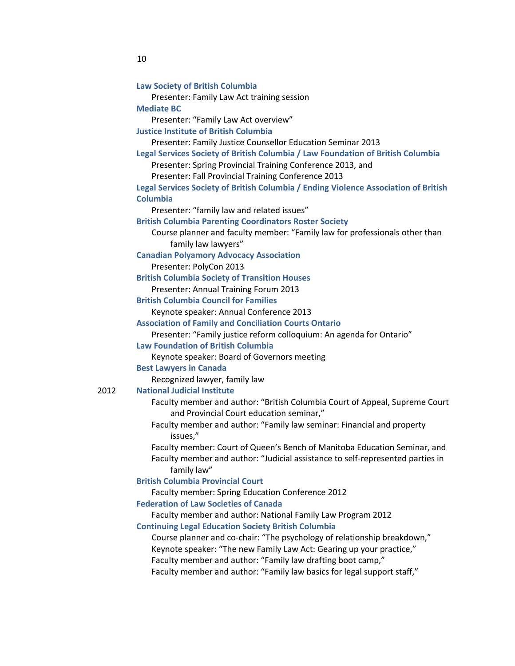| <b>Law Society of British Columbia</b>                                              |
|-------------------------------------------------------------------------------------|
| Presenter: Family Law Act training session                                          |
| <b>Mediate BC</b>                                                                   |
| Presenter: "Family Law Act overview"                                                |
| <b>Justice Institute of British Columbia</b>                                        |
| Presenter: Family Justice Counsellor Education Seminar 2013                         |
| Legal Services Society of British Columbia / Law Foundation of British Columbia     |
| Presenter: Spring Provincial Training Conference 2013, and                          |
| Presenter: Fall Provincial Training Conference 2013                                 |
| Legal Services Society of British Columbia / Ending Violence Association of British |
| <b>Columbia</b>                                                                     |
| Presenter: "family law and related issues"                                          |
| <b>British Columbia Parenting Coordinators Roster Society</b>                       |
| Course planner and faculty member: "Family law for professionals other than         |
| family law lawyers"                                                                 |
| <b>Canadian Polyamory Advocacy Association</b>                                      |
| Presenter: PolyCon 2013                                                             |
| <b>British Columbia Society of Transition Houses</b>                                |
| Presenter: Annual Training Forum 2013                                               |
| <b>British Columbia Council for Families</b>                                        |
| Keynote speaker: Annual Conference 2013                                             |
| <b>Association of Family and Conciliation Courts Ontario</b>                        |
| Presenter: "Family justice reform colloquium: An agenda for Ontario"                |
| <b>Law Foundation of British Columbia</b>                                           |
| Keynote speaker: Board of Governors meeting                                         |
| <b>Best Lawyers in Canada</b>                                                       |
| Recognized lawyer, family law                                                       |
| <b>National Judicial Institute</b>                                                  |
| Faculty member and author: "British Columbia Court of Appeal, Supreme Court         |
| and Provincial Court education seminar,"                                            |
| Faculty member and author: "Family law seminar: Financial and property              |
| issues,"                                                                            |
| Faculty member: Court of Queen's Bench of Manitoba Education Seminar, and           |
| Faculty member and author: "Judicial assistance to self-represented parties in      |
| family law"                                                                         |
| <b>British Columbia Provincial Court</b>                                            |
| Faculty member: Spring Education Conference 2012                                    |
| <b>Federation of Law Societies of Canada</b>                                        |
| Faculty member and author: National Family Law Program 2012                         |
| <b>Continuing Legal Education Society British Columbia</b>                          |
| Course planner and co-chair: "The psychology of relationship breakdown,"            |
| Keynote speaker: "The new Family Law Act: Gearing up your practice,"                |
| Faculty member and author: "Family law drafting boot camp,"                         |
| Faculty member and author: "Family law basics for legal support staff,"             |
|                                                                                     |

2012 **National Judicial Institute**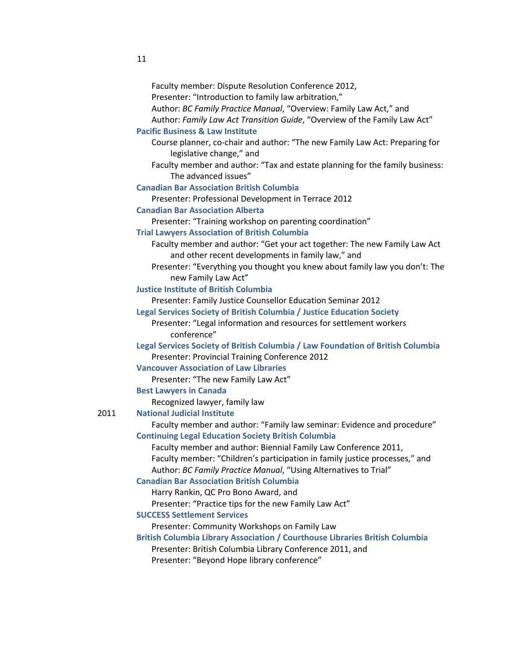| Faculty member: Dispute Resolution Conference 2012,                                 |
|-------------------------------------------------------------------------------------|
| Presenter: "Introduction to family law arbitration,"                                |
| Author: BC Family Practice Manual, "Overview: Family Law Act," and                  |
| Author: Family Law Act Transition Guide, "Overview of the Family Law Act"           |
| <b>Pacific Business &amp; Law Institute</b>                                         |
| Course planner, co-chair and author: "The new Family Law Act: Preparing for         |
| legislative change," and                                                            |
| Faculty member and author: "Tax and estate planning for the family business:        |
| The advanced issues"                                                                |
| <b>Canadian Bar Association British Columbia</b>                                    |
| Presenter: Professional Development in Terrace 2012                                 |
| <b>Canadian Bar Association Alberta</b>                                             |
| Presenter: "Training workshop on parenting coordination"                            |
| <b>Trial Lawyers Association of British Columbia</b>                                |
| Faculty member and author: "Get your act together: The new Family Law Act           |
| and other recent developments in family law," and                                   |
| Presenter: "Everything you thought you knew about family law you don't: The         |
| new Family Law Act"                                                                 |
| <b>Justice Institute of British Columbia</b>                                        |
| Presenter: Family Justice Counsellor Education Seminar 2012                         |
| Legal Services Society of British Columbia / Justice Education Society              |
| Presenter: "Legal information and resources for settlement workers                  |
| conference"                                                                         |
| Legal Services Society of British Columbia / Law Foundation of British Columbia     |
| Presenter: Provincial Training Conference 2012                                      |
| <b>Vancouver Association of Law Libraries</b>                                       |
| Presenter: "The new Family Law Act"                                                 |
| <b>Best Lawyers in Canada</b>                                                       |
| Recognized lawyer, family law                                                       |
| <b>National Judicial Institute</b>                                                  |
| Faculty member and author: "Family law seminar: Evidence and procedure"             |
| <b>Continuing Legal Education Society British Columbia</b>                          |
| Faculty member and author: Biennial Family Law Conference 2011,                     |
| Faculty member: "Children's participation in family justice processes," and         |
| Author: BC Family Practice Manual, "Using Alternatives to Trial"                    |
| <b>Canadian Bar Association British Columbia</b>                                    |
| Harry Rankin, QC Pro Bono Award, and                                                |
| Presenter: "Practice tips for the new Family Law Act"                               |
| <b>SUCCESS Settlement Services</b>                                                  |
| Presenter: Community Workshops on Family Law                                        |
| <b>British Columbia Library Association / Courthouse Libraries British Columbia</b> |
| Presenter: British Columbia Library Conference 2011, and                            |
| Presenter: "Beyond Hope library conference"                                         |

2011 **National Judicial Institute**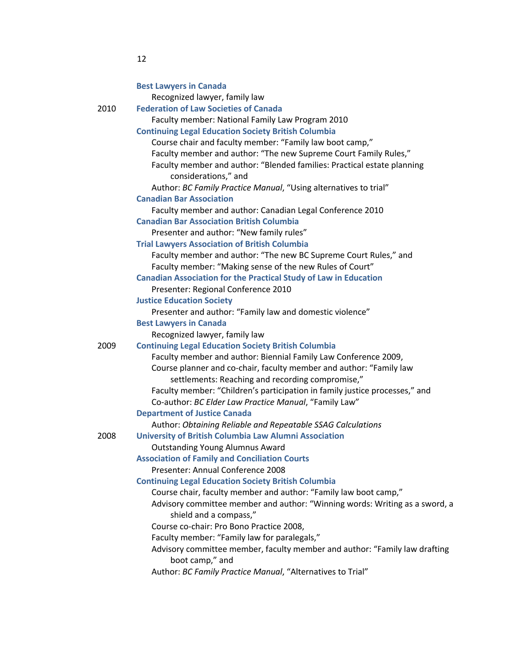|      | <b>Best Lawyers in Canada</b>                                               |
|------|-----------------------------------------------------------------------------|
|      | Recognized lawyer, family law                                               |
| 2010 | <b>Federation of Law Societies of Canada</b>                                |
|      | Faculty member: National Family Law Program 2010                            |
|      | <b>Continuing Legal Education Society British Columbia</b>                  |
|      | Course chair and faculty member: "Family law boot camp,"                    |
|      | Faculty member and author: "The new Supreme Court Family Rules,"            |
|      | Faculty member and author: "Blended families: Practical estate planning     |
|      | considerations," and                                                        |
|      | Author: BC Family Practice Manual, "Using alternatives to trial"            |
|      | <b>Canadian Bar Association</b>                                             |
|      | Faculty member and author: Canadian Legal Conference 2010                   |
|      | <b>Canadian Bar Association British Columbia</b>                            |
|      | Presenter and author: "New family rules"                                    |
|      | <b>Trial Lawyers Association of British Columbia</b>                        |
|      | Faculty member and author: "The new BC Supreme Court Rules," and            |
|      | Faculty member: "Making sense of the new Rules of Court"                    |
|      | <b>Canadian Association for the Practical Study of Law in Education</b>     |
|      | Presenter: Regional Conference 2010                                         |
|      | <b>Justice Education Society</b>                                            |
|      | Presenter and author: "Family law and domestic violence"                    |
|      | <b>Best Lawyers in Canada</b>                                               |
|      | Recognized lawyer, family law                                               |
| 2009 | <b>Continuing Legal Education Society British Columbia</b>                  |
|      | Faculty member and author: Biennial Family Law Conference 2009,             |
|      | Course planner and co-chair, faculty member and author: "Family law         |
|      | settlements: Reaching and recording compromise,"                            |
|      | Faculty member: "Children's participation in family justice processes," and |
|      | Co-author: BC Elder Law Practice Manual, "Family Law"                       |
|      | <b>Department of Justice Canada</b>                                         |
|      | Author: Obtaining Reliable and Repeatable SSAG Calculations                 |
| 2008 | <b>University of British Columbia Law Alumni Association</b>                |
|      | <b>Outstanding Young Alumnus Award</b>                                      |
|      | <b>Association of Family and Conciliation Courts</b>                        |
|      | Presenter: Annual Conference 2008                                           |
|      | <b>Continuing Legal Education Society British Columbia</b>                  |
|      | Course chair, faculty member and author: "Family law boot camp,"            |
|      | Advisory committee member and author: "Winning words: Writing as a sword, a |
|      | shield and a compass,"                                                      |
|      | Course co-chair: Pro Bono Practice 2008,                                    |
|      | Faculty member: "Family law for paralegals,"                                |
|      | Advisory committee member, faculty member and author: "Family law drafting  |
|      | boot camp," and                                                             |
|      | Author: BC Family Practice Manual, "Alternatives to Trial"                  |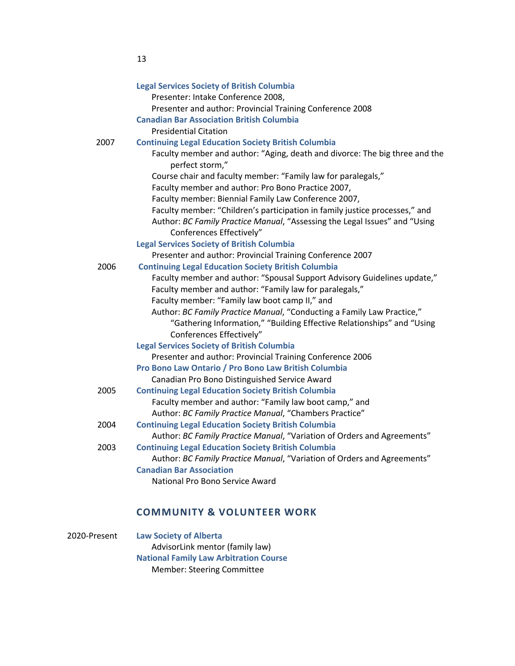|      | <b>Legal Services Society of British Columbia</b>                                                      |
|------|--------------------------------------------------------------------------------------------------------|
|      | Presenter: Intake Conference 2008,                                                                     |
|      | Presenter and author: Provincial Training Conference 2008                                              |
|      | <b>Canadian Bar Association British Columbia</b>                                                       |
|      | <b>Presidential Citation</b>                                                                           |
| 2007 | <b>Continuing Legal Education Society British Columbia</b>                                             |
|      | Faculty member and author: "Aging, death and divorce: The big three and the<br>perfect storm,"         |
|      | Course chair and faculty member: "Family law for paralegals,"                                          |
|      | Faculty member and author: Pro Bono Practice 2007,                                                     |
|      | Faculty member: Biennial Family Law Conference 2007,                                                   |
|      | Faculty member: "Children's participation in family justice processes," and                            |
|      | Author: BC Family Practice Manual, "Assessing the Legal Issues" and "Using<br>Conferences Effectively" |
|      | <b>Legal Services Society of British Columbia</b>                                                      |
|      | Presenter and author: Provincial Training Conference 2007                                              |
| 2006 | <b>Continuing Legal Education Society British Columbia</b>                                             |
|      | Faculty member and author: "Spousal Support Advisory Guidelines update,"                               |
|      | Faculty member and author: "Family law for paralegals,"                                                |
|      | Faculty member: "Family law boot camp II," and                                                         |
|      | Author: BC Family Practice Manual, "Conducting a Family Law Practice,"                                 |
|      | "Gathering Information," "Building Effective Relationships" and "Using<br>Conferences Effectively"     |
|      | <b>Legal Services Society of British Columbia</b>                                                      |
|      | Presenter and author: Provincial Training Conference 2006                                              |
|      | Pro Bono Law Ontario / Pro Bono Law British Columbia                                                   |
|      | Canadian Pro Bono Distinguished Service Award                                                          |
| 2005 | <b>Continuing Legal Education Society British Columbia</b>                                             |
|      | Faculty member and author: "Family law boot camp," and                                                 |
|      | Author: BC Family Practice Manual, "Chambers Practice"                                                 |
| 2004 | <b>Continuing Legal Education Society British Columbia</b>                                             |
|      | Author: BC Family Practice Manual, "Variation of Orders and Agreements"                                |
| 2003 | <b>Continuing Legal Education Society British Columbia</b>                                             |
|      | Author: BC Family Practice Manual, "Variation of Orders and Agreements"                                |
|      | <b>Canadian Bar Association</b>                                                                        |
|      | National Pro Bono Service Award                                                                        |
|      |                                                                                                        |

# **COMMUNITY & VOLUNTEER WORK**

| 2020-Present | <b>Law Society of Alberta</b>                 |
|--------------|-----------------------------------------------|
|              | AdvisorLink mentor (family law)               |
|              | <b>National Family Law Arbitration Course</b> |
|              | <b>Member: Steering Committee</b>             |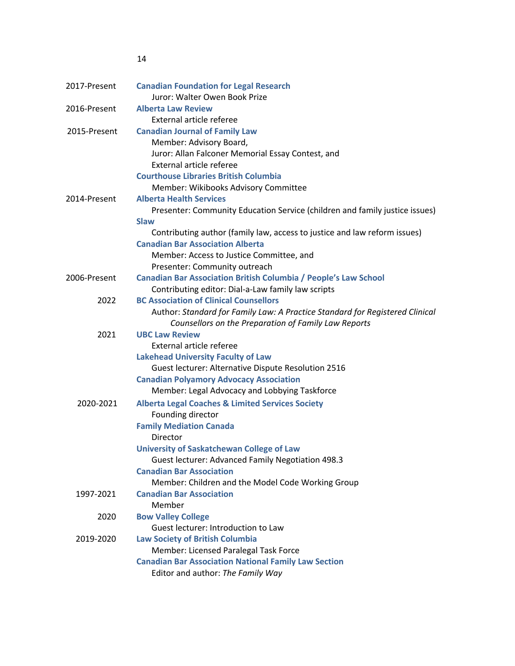| 2017-Present | <b>Canadian Foundation for Legal Research</b>                                 |
|--------------|-------------------------------------------------------------------------------|
|              | Juror: Walter Owen Book Prize                                                 |
| 2016-Present | <b>Alberta Law Review</b>                                                     |
|              | External article referee                                                      |
| 2015-Present | <b>Canadian Journal of Family Law</b>                                         |
|              | Member: Advisory Board,                                                       |
|              | Juror: Allan Falconer Memorial Essay Contest, and                             |
|              | External article referee                                                      |
|              | <b>Courthouse Libraries British Columbia</b>                                  |
|              | Member: Wikibooks Advisory Committee                                          |
| 2014-Present | <b>Alberta Health Services</b>                                                |
|              | Presenter: Community Education Service (children and family justice issues)   |
|              | <b>Slaw</b>                                                                   |
|              | Contributing author (family law, access to justice and law reform issues)     |
|              | <b>Canadian Bar Association Alberta</b>                                       |
|              | Member: Access to Justice Committee, and                                      |
|              | Presenter: Community outreach                                                 |
| 2006-Present | <b>Canadian Bar Association British Columbia / People's Law School</b>        |
|              | Contributing editor: Dial-a-Law family law scripts                            |
| 2022         | <b>BC Association of Clinical Counsellors</b>                                 |
|              | Author: Standard for Family Law: A Practice Standard for Registered Clinical  |
| 2021         | Counsellors on the Preparation of Family Law Reports<br><b>UBC Law Review</b> |
|              | External article referee                                                      |
|              | <b>Lakehead University Faculty of Law</b>                                     |
|              | Guest lecturer: Alternative Dispute Resolution 2516                           |
|              | <b>Canadian Polyamory Advocacy Association</b>                                |
|              | Member: Legal Advocacy and Lobbying Taskforce                                 |
| 2020-2021    | <b>Alberta Legal Coaches &amp; Limited Services Society</b>                   |
|              | Founding director                                                             |
|              | <b>Family Mediation Canada</b>                                                |
|              | Director                                                                      |
|              | <b>University of Saskatchewan College of Law</b>                              |
|              | Guest lecturer: Advanced Family Negotiation 498.3                             |
|              | <b>Canadian Bar Association</b>                                               |
|              | Member: Children and the Model Code Working Group                             |
| 1997-2021    | <b>Canadian Bar Association</b>                                               |
|              | Member                                                                        |
| 2020         | <b>Bow Valley College</b>                                                     |
|              | Guest lecturer: Introduction to Law                                           |
| 2019-2020    | <b>Law Society of British Columbia</b>                                        |
|              | Member: Licensed Paralegal Task Force                                         |
|              | <b>Canadian Bar Association National Family Law Section</b>                   |
|              | Editor and author: The Family Way                                             |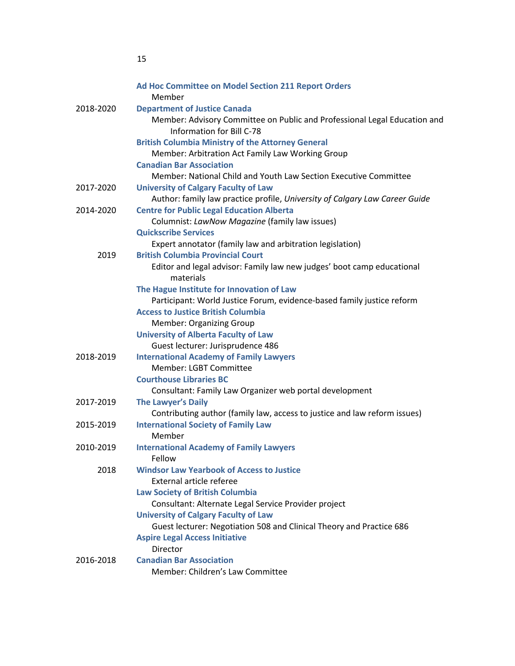|           | Ad Hoc Committee on Model Section 211 Report Orders<br>Member                                          |
|-----------|--------------------------------------------------------------------------------------------------------|
| 2018-2020 | <b>Department of Justice Canada</b>                                                                    |
|           | Member: Advisory Committee on Public and Professional Legal Education and<br>Information for Bill C-78 |
|           | <b>British Columbia Ministry of the Attorney General</b>                                               |
|           | Member: Arbitration Act Family Law Working Group                                                       |
|           | <b>Canadian Bar Association</b>                                                                        |
|           | Member: National Child and Youth Law Section Executive Committee                                       |
| 2017-2020 | <b>University of Calgary Faculty of Law</b>                                                            |
|           | Author: family law practice profile, University of Calgary Law Career Guide                            |
| 2014-2020 | <b>Centre for Public Legal Education Alberta</b>                                                       |
|           | Columnist: LawNow Magazine (family law issues)                                                         |
|           | <b>Quickscribe Services</b>                                                                            |
|           | Expert annotator (family law and arbitration legislation)                                              |
| 2019      | <b>British Columbia Provincial Court</b>                                                               |
|           | Editor and legal advisor: Family law new judges' boot camp educational<br>materials                    |
|           | The Hague Institute for Innovation of Law                                                              |
|           | Participant: World Justice Forum, evidence-based family justice reform                                 |
|           | <b>Access to Justice British Columbia</b>                                                              |
|           | <b>Member: Organizing Group</b>                                                                        |
|           | <b>University of Alberta Faculty of Law</b>                                                            |
|           | Guest lecturer: Jurisprudence 486                                                                      |
| 2018-2019 | <b>International Academy of Family Lawyers</b>                                                         |
|           | Member: LGBT Committee                                                                                 |
|           | <b>Courthouse Libraries BC</b>                                                                         |
|           | Consultant: Family Law Organizer web portal development                                                |
| 2017-2019 | <b>The Lawyer's Daily</b>                                                                              |
|           | Contributing author (family law, access to justice and law reform issues)                              |
| 2015-2019 | <b>International Society of Family Law</b>                                                             |
|           | Member                                                                                                 |
| 2010-2019 | <b>International Academy of Family Lawyers</b><br>Fellow                                               |
| 2018      | <b>Windsor Law Yearbook of Access to Justice</b>                                                       |
|           | <b>External article referee</b>                                                                        |
|           | <b>Law Society of British Columbia</b>                                                                 |
|           | Consultant: Alternate Legal Service Provider project                                                   |
|           | <b>University of Calgary Faculty of Law</b>                                                            |
|           | Guest lecturer: Negotiation 508 and Clinical Theory and Practice 686                                   |
|           | <b>Aspire Legal Access Initiative</b>                                                                  |
|           | Director                                                                                               |
| 2016-2018 | <b>Canadian Bar Association</b>                                                                        |
|           | Member: Children's Law Committee                                                                       |
|           |                                                                                                        |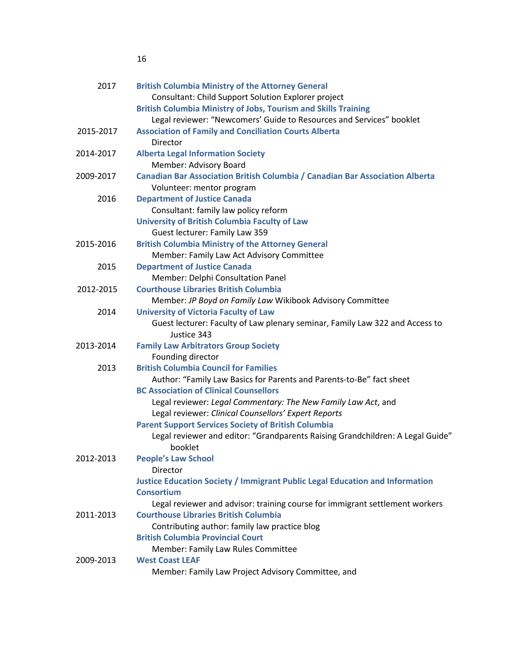| 2017      | <b>British Columbia Ministry of the Attorney General</b>                                  |
|-----------|-------------------------------------------------------------------------------------------|
|           | Consultant: Child Support Solution Explorer project                                       |
|           | <b>British Columbia Ministry of Jobs, Tourism and Skills Training</b>                     |
|           | Legal reviewer: "Newcomers' Guide to Resources and Services" booklet                      |
| 2015-2017 | <b>Association of Family and Conciliation Courts Alberta</b>                              |
|           | Director                                                                                  |
| 2014-2017 | <b>Alberta Legal Information Society</b>                                                  |
|           | Member: Advisory Board                                                                    |
| 2009-2017 | Canadian Bar Association British Columbia / Canadian Bar Association Alberta              |
|           | Volunteer: mentor program                                                                 |
| 2016      | <b>Department of Justice Canada</b>                                                       |
|           | Consultant: family law policy reform                                                      |
|           | <b>University of British Columbia Faculty of Law</b>                                      |
|           | Guest lecturer: Family Law 359                                                            |
| 2015-2016 | <b>British Columbia Ministry of the Attorney General</b>                                  |
|           | Member: Family Law Act Advisory Committee                                                 |
| 2015      | <b>Department of Justice Canada</b>                                                       |
|           | Member: Delphi Consultation Panel                                                         |
| 2012-2015 | <b>Courthouse Libraries British Columbia</b>                                              |
|           | Member: JP Boyd on Family Law Wikibook Advisory Committee                                 |
| 2014      | <b>University of Victoria Faculty of Law</b>                                              |
|           | Guest lecturer: Faculty of Law plenary seminar, Family Law 322 and Access to              |
|           | Justice 343                                                                               |
| 2013-2014 | <b>Family Law Arbitrators Group Society</b>                                               |
|           | Founding director                                                                         |
| 2013      | <b>British Columbia Council for Families</b>                                              |
|           | Author: "Family Law Basics for Parents and Parents-to-Be" fact sheet                      |
|           | <b>BC Association of Clinical Counsellors</b>                                             |
|           | Legal reviewer: Legal Commentary: The New Family Law Act, and                             |
|           | Legal reviewer: Clinical Counsellors' Expert Reports                                      |
|           | <b>Parent Support Services Society of British Columbia</b>                                |
|           | Legal reviewer and editor: "Grandparents Raising Grandchildren: A Legal Guide"<br>booklet |
| 2012-2013 | <b>People's Law School</b>                                                                |
|           | Director                                                                                  |
|           | <b>Justice Education Society / Immigrant Public Legal Education and Information</b>       |
|           | <b>Consortium</b>                                                                         |
|           | Legal reviewer and advisor: training course for immigrant settlement workers              |
| 2011-2013 | <b>Courthouse Libraries British Columbia</b>                                              |
|           | Contributing author: family law practice blog                                             |
|           | <b>British Columbia Provincial Court</b>                                                  |
|           | Member: Family Law Rules Committee                                                        |
| 2009-2013 | <b>West Coast LEAF</b>                                                                    |
|           | Member: Family Law Project Advisory Committee, and                                        |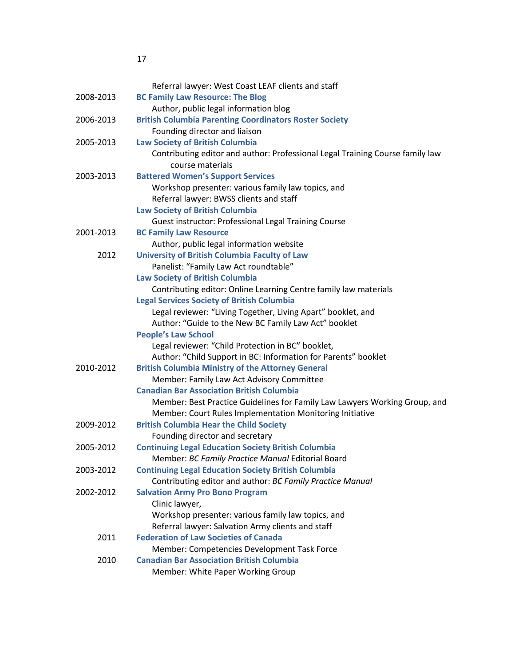|           | Referral lawyer: West Coast LEAF clients and staff                            |
|-----------|-------------------------------------------------------------------------------|
| 2008-2013 | <b>BC Family Law Resource: The Blog</b>                                       |
|           | Author, public legal information blog                                         |
| 2006-2013 | <b>British Columbia Parenting Coordinators Roster Society</b>                 |
|           | Founding director and liaison                                                 |
| 2005-2013 | <b>Law Society of British Columbia</b>                                        |
|           | Contributing editor and author: Professional Legal Training Course family law |
|           | course materials                                                              |
| 2003-2013 | <b>Battered Women's Support Services</b>                                      |
|           | Workshop presenter: various family law topics, and                            |
|           | Referral lawyer: BWSS clients and staff                                       |
|           | <b>Law Society of British Columbia</b>                                        |
|           | Guest instructor: Professional Legal Training Course                          |
| 2001-2013 | <b>BC Family Law Resource</b>                                                 |
|           | Author, public legal information website                                      |
| 2012      | <b>University of British Columbia Faculty of Law</b>                          |
|           | Panelist: "Family Law Act roundtable"                                         |
|           | <b>Law Society of British Columbia</b>                                        |
|           | Contributing editor: Online Learning Centre family law materials              |
|           | <b>Legal Services Society of British Columbia</b>                             |
|           | Legal reviewer: "Living Together, Living Apart" booklet, and                  |
|           | Author: "Guide to the New BC Family Law Act" booklet                          |
|           | <b>People's Law School</b>                                                    |
|           | Legal reviewer: "Child Protection in BC" booklet,                             |
|           | Author: "Child Support in BC: Information for Parents" booklet                |
| 2010-2012 | <b>British Columbia Ministry of the Attorney General</b>                      |
|           | Member: Family Law Act Advisory Committee                                     |
|           | <b>Canadian Bar Association British Columbia</b>                              |
|           | Member: Best Practice Guidelines for Family Law Lawyers Working Group, and    |
|           | Member: Court Rules Implementation Monitoring Initiative                      |
| 2009-2012 | <b>British Columbia Hear the Child Society</b>                                |
|           | Founding director and secretary                                               |
| 2005-2012 | <b>Continuing Legal Education Society British Columbia</b>                    |
|           | Member: BC Family Practice Manual Editorial Board                             |
| 2003-2012 | <b>Continuing Legal Education Society British Columbia</b>                    |
|           | Contributing editor and author: BC Family Practice Manual                     |
| 2002-2012 | <b>Salvation Army Pro Bono Program</b>                                        |
|           | Clinic lawyer,                                                                |
|           | Workshop presenter: various family law topics, and                            |
|           | Referral lawyer: Salvation Army clients and staff                             |
| 2011      | <b>Federation of Law Societies of Canada</b>                                  |
|           | Member: Competencies Development Task Force                                   |
| 2010      | <b>Canadian Bar Association British Columbia</b>                              |
|           | Member: White Paper Working Group                                             |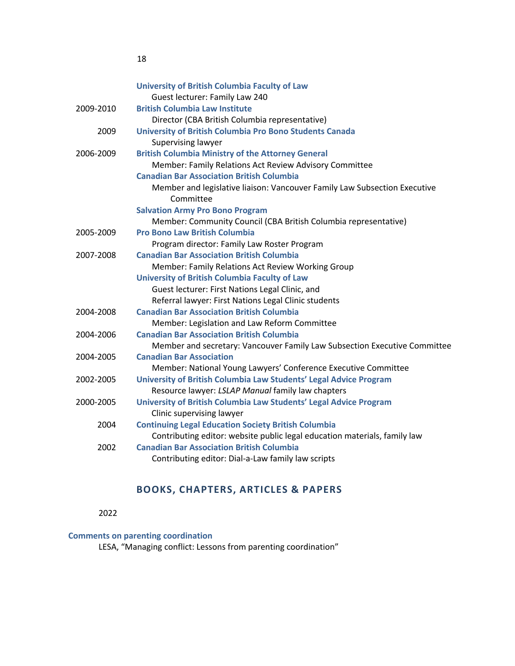|           | <b>University of British Columbia Faculty of Law</b>                      |
|-----------|---------------------------------------------------------------------------|
|           | Guest lecturer: Family Law 240                                            |
| 2009-2010 | <b>British Columbia Law Institute</b>                                     |
|           | Director (CBA British Columbia representative)                            |
| 2009      | University of British Columbia Pro Bono Students Canada                   |
|           | Supervising lawyer                                                        |
| 2006-2009 | <b>British Columbia Ministry of the Attorney General</b>                  |
|           | Member: Family Relations Act Review Advisory Committee                    |
|           | <b>Canadian Bar Association British Columbia</b>                          |
|           | Member and legislative liaison: Vancouver Family Law Subsection Executive |
|           | Committee                                                                 |
|           | <b>Salvation Army Pro Bono Program</b>                                    |
|           | Member: Community Council (CBA British Columbia representative)           |
| 2005-2009 | <b>Pro Bono Law British Columbia</b>                                      |
|           | Program director: Family Law Roster Program                               |
| 2007-2008 | <b>Canadian Bar Association British Columbia</b>                          |
|           | Member: Family Relations Act Review Working Group                         |
|           | <b>University of British Columbia Faculty of Law</b>                      |
|           | Guest lecturer: First Nations Legal Clinic, and                           |
|           | Referral lawyer: First Nations Legal Clinic students                      |
| 2004-2008 | <b>Canadian Bar Association British Columbia</b>                          |
|           | Member: Legislation and Law Reform Committee                              |
| 2004-2006 | <b>Canadian Bar Association British Columbia</b>                          |
|           | Member and secretary: Vancouver Family Law Subsection Executive Committee |
| 2004-2005 | <b>Canadian Bar Association</b>                                           |
|           | Member: National Young Lawyers' Conference Executive Committee            |
| 2002-2005 | University of British Columbia Law Students' Legal Advice Program         |
|           | Resource lawyer: LSLAP Manual family law chapters                         |
| 2000-2005 | University of British Columbia Law Students' Legal Advice Program         |
|           | Clinic supervising lawyer                                                 |
| 2004      | <b>Continuing Legal Education Society British Columbia</b>                |
|           | Contributing editor: website public legal education materials, family law |
| 2002      | <b>Canadian Bar Association British Columbia</b>                          |
|           | Contributing editor: Dial-a-Law family law scripts                        |

# **BOOKS, CHAPTERS, ARTICLES & PAPERS**

2022

# **Comments on parenting coordination**

18

LESA, "Managing conflict: Lessons from parenting coordination"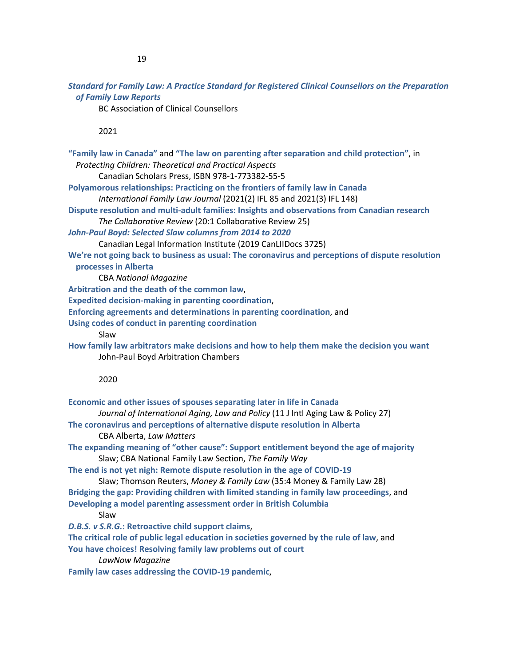*Standard for Family Law: A Practice Standard for Registered Clinical Counsellors on the Preparation of Family Law Reports*

BC Association of Clinical Counsellors

## 2021

| "Family law in Canada" and "The law on parenting after separation and child protection", in<br>Protecting Children: Theoretical and Practical Aspects<br>Canadian Scholars Press, ISBN 978-1-773382-55-5<br>Polyamorous relationships: Practicing on the frontiers of family law in Canada<br>International Family Law Journal (2021(2) IFL 85 and 2021(3) IFL 148)<br>Dispute resolution and multi-adult families: Insights and observations from Canadian research<br>The Collaborative Review (20:1 Collaborative Review 25)<br>John-Paul Boyd: Selected Slaw columns from 2014 to 2020<br>Canadian Legal Information Institute (2019 CanLIIDocs 3725)<br>We're not going back to business as usual: The coronavirus and perceptions of dispute resolution<br>processes in Alberta<br><b>CBA National Magazine</b><br>Arbitration and the death of the common law,<br><b>Expedited decision-making in parenting coordination,</b><br>Enforcing agreements and determinations in parenting coordination, and<br>Using codes of conduct in parenting coordination<br>Slaw<br>How family law arbitrators make decisions and how to help them make the decision you want<br>John-Paul Boyd Arbitration Chambers |
|----------------------------------------------------------------------------------------------------------------------------------------------------------------------------------------------------------------------------------------------------------------------------------------------------------------------------------------------------------------------------------------------------------------------------------------------------------------------------------------------------------------------------------------------------------------------------------------------------------------------------------------------------------------------------------------------------------------------------------------------------------------------------------------------------------------------------------------------------------------------------------------------------------------------------------------------------------------------------------------------------------------------------------------------------------------------------------------------------------------------------------------------------------------------------------------------------------------|
| 2020                                                                                                                                                                                                                                                                                                                                                                                                                                                                                                                                                                                                                                                                                                                                                                                                                                                                                                                                                                                                                                                                                                                                                                                                           |
| Economic and other issues of spouses separating later in life in Canada<br>Journal of International Aging, Law and Policy (11 J Intl Aging Law & Policy 27)<br>The coronavirus and perceptions of alternative dispute resolution in Alberta<br>CBA Alberta, Law Matters<br>The expanding meaning of "other cause": Support entitlement beyond the age of majority<br>Slaw; CBA National Family Law Section, The Family Way<br>The end is not yet nigh: Remote dispute resolution in the age of COVID-19<br>Slaw; Thomson Reuters, Money & Family Law (35:4 Money & Family Law 28)<br>Bridging the gap: Providing children with limited standing in family law proceedings, and<br>Developing a model parenting assessment order in British Columbia<br>Slaw<br>D.B.S. v S.R.G.: Retroactive child support claims,<br>The critical role of public legal education in societies governed by the rule of law, and<br>You have choices! Resolving family law problems out of court<br>LawNow Magazine<br>Family law cases addressing the COVID-19 pandemic,                                                                                                                                                        |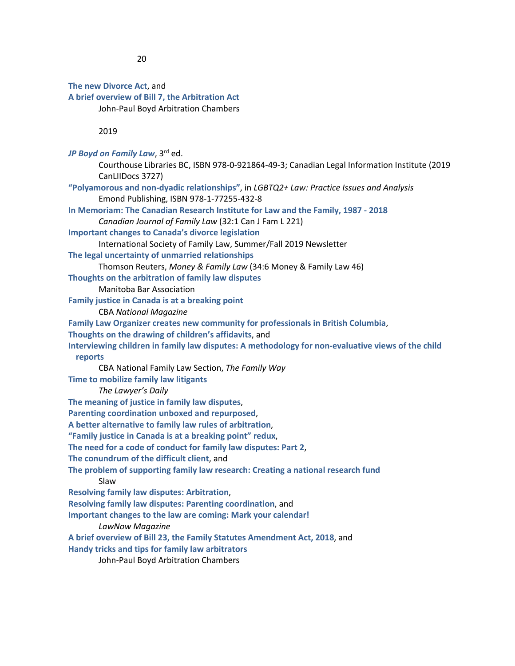**The new Divorce Act**, and **A brief overview of Bill 7, the Arbitration Act** John-Paul Boyd Arbitration Chambers 2019 JP Boyd on Family Law, 3<sup>rd</sup> ed. Courthouse Libraries BC, ISBN 978-0-921864-49-3; Canadian Legal Information Institute (2019 CanLIIDocs 3727) **"Polyamorous and non-dyadic relationships"**, in *LGBTQ2+ Law: Practice Issues and Analysis* Emond Publishing, ISBN 978-1-77255-432-8 **In Memoriam: The Canadian Research Institute for Law and the Family, 1987 - 2018** *Canadian Journal of Family Law* (32:1 Can J Fam L 221) **Important changes to Canada's divorce legislation** International Society of Family Law, Summer/Fall 2019 Newsletter **The legal uncertainty of unmarried relationships** Thomson Reuters, *Money & Family Law* (34:6 Money & Family Law 46) **Thoughts on the arbitration of family law disputes** Manitoba Bar Association **Family justice in Canada is at a breaking point** CBA *National Magazine* **Family Law Organizer creates new community for professionals in British Columbia**, **Thoughts on the drawing of children's affidavits**, and **Interviewing children in family law disputes: A methodology for non-evaluative views of the child reports** CBA National Family Law Section, *The Family Way* **Time to mobilize family law litigants** *The Lawyer's Daily* **The meaning of justice in family law disputes**, **Parenting coordination unboxed and repurposed**, **A better alternative to family law rules of arbitration**, **"Family justice in Canada is at a breaking point" redux**, **The need for a code of conduct for family law disputes: Part 2**, **The conundrum of the difficult client**, and **The problem of supporting family law research: Creating a national research fund** Slaw **Resolving family law disputes: Arbitration**, **Resolving family law disputes: Parenting coordination**, and **Important changes to the law are coming: Mark your calendar!** *LawNow Magazine* **A brief overview of Bill 23, the Family Statutes Amendment Act, 2018**, and **Handy tricks and tips for family law arbitrators** John-Paul Boyd Arbitration Chambers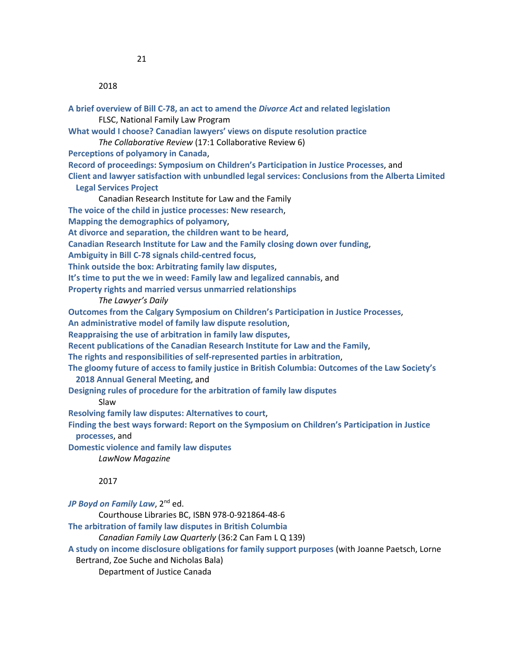| A brief overview of Bill C-78, an act to amend the Divorce Act and related legislation                                               |
|--------------------------------------------------------------------------------------------------------------------------------------|
| FLSC, National Family Law Program                                                                                                    |
| What would I choose? Canadian lawyers' views on dispute resolution practice                                                          |
| The Collaborative Review (17:1 Collaborative Review 6)                                                                               |
| Perceptions of polyamory in Canada,                                                                                                  |
| Record of proceedings: Symposium on Children's Participation in Justice Processes, and                                               |
| Client and lawyer satisfaction with unbundled legal services: Conclusions from the Alberta Limited                                   |
| <b>Legal Services Project</b>                                                                                                        |
| Canadian Research Institute for Law and the Family                                                                                   |
| The voice of the child in justice processes: New research,                                                                           |
| Mapping the demographics of polyamory,                                                                                               |
| At divorce and separation, the children want to be heard,                                                                            |
| Canadian Research Institute for Law and the Family closing down over funding,                                                        |
| Ambiguity in Bill C-78 signals child-centred focus,                                                                                  |
| Think outside the box: Arbitrating family law disputes,                                                                              |
| It's time to put the we in weed: Family law and legalized cannabis, and                                                              |
| Property rights and married versus unmarried relationships                                                                           |
| The Lawyer's Daily                                                                                                                   |
| Outcomes from the Calgary Symposium on Children's Participation in Justice Processes,                                                |
| An administrative model of family law dispute resolution,                                                                            |
| Reappraising the use of arbitration in family law disputes,                                                                          |
| Recent publications of the Canadian Research Institute for Law and the Family,                                                       |
| The rights and responsibilities of self-represented parties in arbitration,                                                          |
| The gloomy future of access to family justice in British Columbia: Outcomes of the Law Society's<br>2018 Annual General Meeting, and |
| Designing rules of procedure for the arbitration of family law disputes<br>Slaw                                                      |
| Resolving family law disputes: Alternatives to court,                                                                                |
| Finding the best ways forward: Report on the Symposium on Children's Participation in Justice<br>processes, and                      |
| <b>Domestic violence and family law disputes</b>                                                                                     |
| LawNow Magazine                                                                                                                      |
| 2017                                                                                                                                 |
| JP Boyd on Family Law, 2 <sup>nd</sup> ed.                                                                                           |
|                                                                                                                                      |

Courthouse Libraries BC, ISBN 978-0-921864-48-6 **The arbitration of family law disputes in British Columbia**

*Canadian Family Law Quarterly* (36:2 Can Fam L Q 139)

**A study on income disclosure obligations for family support purposes** (with Joanne Paetsch, Lorne Bertrand, Zoe Suche and Nicholas Bala)

Department of Justice Canada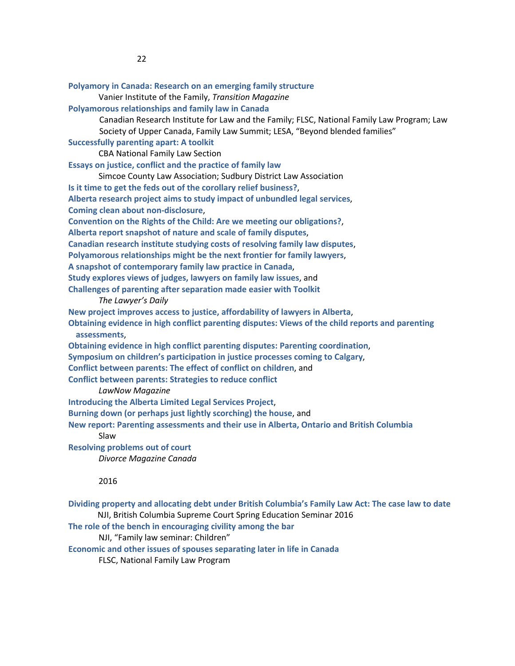| Polyamory in Canada: Research on an emerging family structure                                       |
|-----------------------------------------------------------------------------------------------------|
| Vanier Institute of the Family, Transition Magazine                                                 |
| Polyamorous relationships and family law in Canada                                                  |
| Canadian Research Institute for Law and the Family; FLSC, National Family Law Program; Law          |
| Society of Upper Canada, Family Law Summit; LESA, "Beyond blended families"                         |
| <b>Successfully parenting apart: A toolkit</b>                                                      |
| <b>CBA National Family Law Section</b>                                                              |
| Essays on justice, conflict and the practice of family law                                          |
| Simcoe County Law Association; Sudbury District Law Association                                     |
| Is it time to get the feds out of the corollary relief business?,                                   |
| Alberta research project aims to study impact of unbundled legal services,                          |
| Coming clean about non-disclosure,                                                                  |
| Convention on the Rights of the Child: Are we meeting our obligations?,                             |
| Alberta report snapshot of nature and scale of family disputes,                                     |
| Canadian research institute studying costs of resolving family law disputes,                        |
| Polyamorous relationships might be the next frontier for family lawyers,                            |
| A snapshot of contemporary family law practice in Canada,                                           |
| Study explores views of judges, lawyers on family law issues, and                                   |
| Challenges of parenting after separation made easier with Toolkit                                   |
| The Lawyer's Daily                                                                                  |
| New project improves access to justice, affordability of lawyers in Alberta,                        |
| Obtaining evidence in high conflict parenting disputes: Views of the child reports and parenting    |
| assessments,                                                                                        |
| Obtaining evidence in high conflict parenting disputes: Parenting coordination,                     |
| Symposium on children's participation in justice processes coming to Calgary,                       |
| Conflict between parents: The effect of conflict on children, and                                   |
| <b>Conflict between parents: Strategies to reduce conflict</b>                                      |
| LawNow Magazine                                                                                     |
| <b>Introducing the Alberta Limited Legal Services Project,</b>                                      |
| Burning down (or perhaps just lightly scorching) the house, and                                     |
| New report: Parenting assessments and their use in Alberta, Ontario and British Columbia            |
| Slaw                                                                                                |
| <b>Resolving problems out of court</b>                                                              |
| Divorce Magazine Canada                                                                             |
| 2016                                                                                                |
| Dividing property and allocating debt under British Columbia's Family Law Act: The case law to date |
| NJI, British Columbia Supreme Court Spring Education Seminar 2016                                   |
| The role of the bench in encouraging civility among the bar                                         |

NJI, "Family law seminar: Children"

**Economic and other issues of spouses separating later in life in Canada**

FLSC, National Family Law Program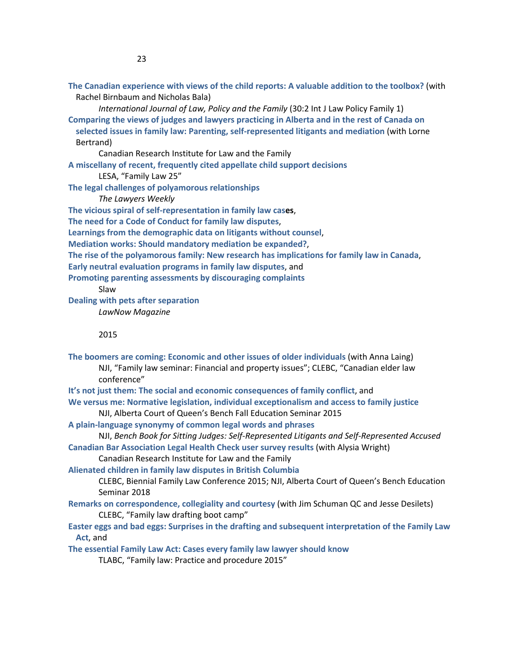**The Canadian experience with views of the child reports: A valuable addition to the toolbox?** (with Rachel Birnbaum and Nicholas Bala)

*International Journal of Law, Policy and the Family* (30:2 Int J Law Policy Family 1) **Comparing the views of judges and lawyers practicing in Alberta and in the rest of Canada on selected issues in family law: Parenting, self-represented litigants and mediation** (with Lorne Bertrand)

Canadian Research Institute for Law and the Family

**A miscellany of recent, frequently cited appellate child support decisions**

LESA, "Family Law 25"

**The legal challenges of polyamorous relationships** 

*The Lawyers Weekly*

**The vicious spiral of self-representation in family law cases**,

**The need for a Code of Conduct for family law disputes**,

**Learnings from the demographic data on litigants without counsel**,

**Mediation works: Should mandatory mediation be expanded?**,

**The rise of the polyamorous family: New research has implications for family law in Canada**,

**Early neutral evaluation programs in family law disputes**, and

**Promoting parenting assessments by discouraging complaints**

Slaw

**Dealing with pets after separation**

*LawNow Magazine*

2015

- **The boomers are coming: Economic and other issues of older individuals** (with Anna Laing) NJI, "Family law seminar: Financial and property issues"; CLEBC, "Canadian elder law conference"
- **It's not just them: The social and economic consequences of family conflict**, and

**We versus me: Normative legislation, individual exceptionalism and access to family justice** NJI, Alberta Court of Queen's Bench Fall Education Seminar 2015

**A plain-language synonymy of common legal words and phrases**

NJI, *Bench Book for Sitting Judges: Self-Represented Litigants and Self-Represented Accused* **Canadian Bar Association Legal Health Check user survey results** (with Alysia Wright)

Canadian Research Institute for Law and the Family

**Alienated children in family law disputes in British Columbia**

CLEBC, Biennial Family Law Conference 2015; NJI, Alberta Court of Queen's Bench Education Seminar 2018

**Remarks on correspondence, collegiality and courtesy** (with Jim Schuman QC and Jesse Desilets) CLEBC, "Family law drafting boot camp"

**Easter eggs and bad eggs: Surprises in the drafting and subsequent interpretation of the Family Law Act**, and

**The essential Family Law Act: Cases every family law lawyer should know**

TLABC, "Family law: Practice and procedure 2015"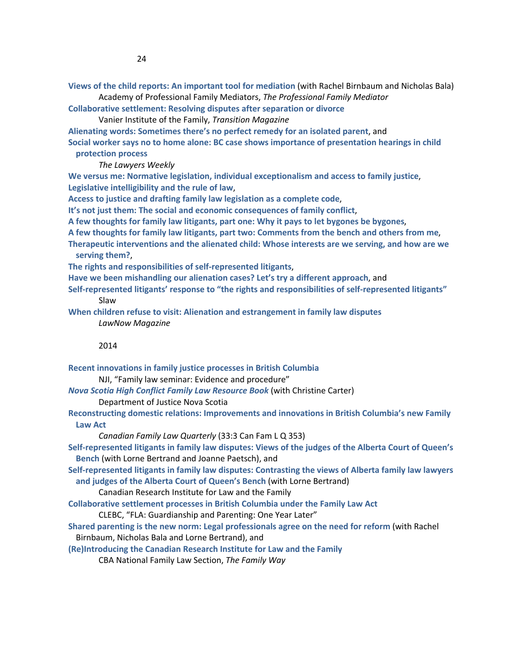**Views of the child reports: An important tool for mediation** (with Rachel Birnbaum and Nicholas Bala) Academy of Professional Family Mediators, *The Professional Family Mediator*

**Collaborative settlement: Resolving disputes after separation or divorce**

Vanier Institute of the Family, *Transition Magazine*

**Alienating words: Sometimes there's no perfect remedy for an isolated parent**, and

**Social worker says no to home alone: BC case shows importance of presentation hearings in child protection process** 

*The Lawyers Weekly*

**We versus me: Normative legislation, individual exceptionalism and access to family justice**, **Legislative intelligibility and the rule of law**,

**Access to justice and drafting family law legislation as a complete code**,

**It's not just them: The social and economic consequences of family conflict**,

**A few thoughts for family law litigants, part one: Why it pays to let bygones be bygones**,

**A few thoughts for family law litigants, part two: Comments from the bench and others from me**,

**Therapeutic interventions and the alienated child: Whose interests are we serving, and how are we serving them?**,

**The rights and responsibilities of self-represented litigants**,

**Have we been mishandling our alienation cases? Let's try a different approach**, and

**Self-represented litigants' response to "the rights and responsibilities of self-represented litigants"** Slaw

**When children refuse to visit: Alienation and estrangement in family law disputes** *LawNow Magazine*

#### 2014

**Recent innovations in family justice processes in British Columbia**

NJI, "Family law seminar: Evidence and procedure"

*Nova Scotia High Conflict Family Law Resource Book* (with Christine Carter)

Department of Justice Nova Scotia

**Reconstructing domestic relations: Improvements and innovations in British Columbia's new Family Law Act**

*Canadian Family Law Quarterly* (33:3 Can Fam L Q 353)

**Self-represented litigants in family law disputes: Views of the judges of the Alberta Court of Queen's Bench** (with Lorne Bertrand and Joanne Paetsch), and

**Self-represented litigants in family law disputes: Contrasting the views of Alberta family law lawyers and judges of the Alberta Court of Queen's Bench** (with Lorne Bertrand)

Canadian Research Institute for Law and the Family

**Collaborative settlement processes in British Columbia under the Family Law Act**

CLEBC, "FLA: Guardianship and Parenting: One Year Later"

**Shared parenting is the new norm: Legal professionals agree on the need for reform** (with Rachel Birnbaum, Nicholas Bala and Lorne Bertrand), and

**(Re)Introducing the Canadian Research Institute for Law and the Family**

CBA National Family Law Section, *The Family Way*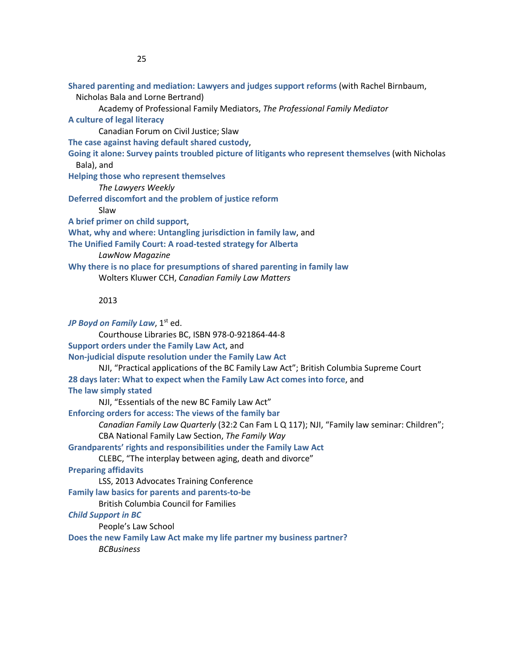**Shared parenting and mediation: Lawyers and judges support reforms** (with Rachel Birnbaum,

Nicholas Bala and Lorne Bertrand)

Academy of Professional Family Mediators, *The Professional Family Mediator*

**A culture of legal literacy**

Canadian Forum on Civil Justice; Slaw

**The case against having default shared custody**,

**Going it alone: Survey paints troubled picture of litigants who represent themselves** (with Nicholas Bala), and

**Helping those who represent themselves**

*The Lawyers Weekly*

**Deferred discomfort and the problem of justice reform**

Slaw

**A brief primer on child support**,

**What, why and where: Untangling jurisdiction in family law**, and

**The Unified Family Court: A road-tested strategy for Alberta**

*LawNow Magazine*

**Why there is no place for presumptions of shared parenting in family law** Wolters Kluwer CCH, *Canadian Family Law Matters*

### 2013

*JP Boyd on Family Law,* 1<sup>st</sup> ed. Courthouse Libraries BC, ISBN 978-0-921864-44-8 **Support orders under the Family Law Act**, and **Non-judicial dispute resolution under the Family Law Act** NJI, "Practical applications of the BC Family Law Act"; British Columbia Supreme Court **28 days later: What to expect when the Family Law Act comes into force**, and **The law simply stated** NJI, "Essentials of the new BC Family Law Act" **Enforcing orders for access: The views of the family bar** *Canadian Family Law Quarterly* (32:2 Can Fam L Q 117); NJI, "Family law seminar: Children"; CBA National Family Law Section, *The Family Way* **Grandparents' rights and responsibilities under the Family Law Act** CLEBC, "The interplay between aging, death and divorce" **Preparing affidavits** LSS, 2013 Advocates Training Conference **Family law basics for parents and parents-to-be** British Columbia Council for Families *Child Support in BC* People's Law School **Does the new Family Law Act make my life partner my business partner?** *BCBusiness*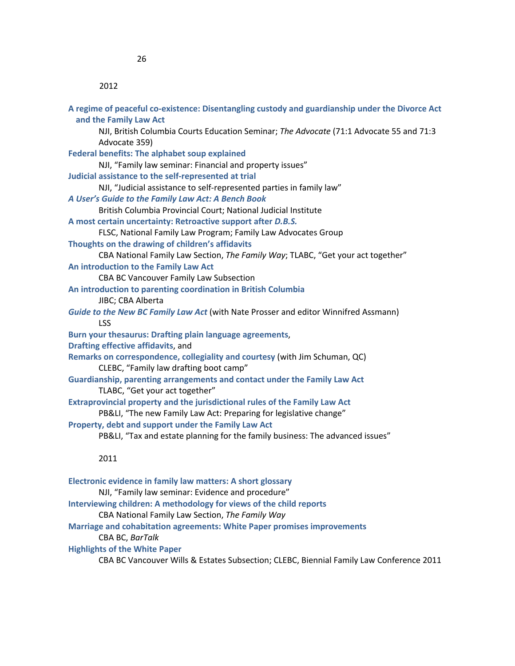| A regime of peaceful co-existence: Disentangling custody and guardianship under the Divorce Act<br>and the Family Law Act |
|---------------------------------------------------------------------------------------------------------------------------|
| NJI, British Columbia Courts Education Seminar; The Advocate (71:1 Advocate 55 and 71:3                                   |
| Advocate 359)                                                                                                             |
| <b>Federal benefits: The alphabet soup explained</b>                                                                      |
| NJI, "Family law seminar: Financial and property issues"                                                                  |
| Judicial assistance to the self-represented at trial                                                                      |
| NJI, "Judicial assistance to self-represented parties in family law"                                                      |
| A User's Guide to the Family Law Act: A Bench Book                                                                        |
| British Columbia Provincial Court; National Judicial Institute                                                            |
| A most certain uncertainty: Retroactive support after D.B.S.                                                              |
| FLSC, National Family Law Program; Family Law Advocates Group                                                             |
| Thoughts on the drawing of children's affidavits                                                                          |
| CBA National Family Law Section, The Family Way; TLABC, "Get your act together"                                           |
| An introduction to the Family Law Act                                                                                     |
| CBA BC Vancouver Family Law Subsection                                                                                    |
| An introduction to parenting coordination in British Columbia                                                             |
| JIBC; CBA Alberta                                                                                                         |
| Guide to the New BC Family Law Act (with Nate Prosser and editor Winnifred Assmann)                                       |
| <b>LSS</b>                                                                                                                |
| Burn your thesaurus: Drafting plain language agreements,                                                                  |
| Drafting effective affidavits, and                                                                                        |
| Remarks on correspondence, collegiality and courtesy (with Jim Schuman, QC)                                               |
| CLEBC, "Family law drafting boot camp"                                                                                    |
| Guardianship, parenting arrangements and contact under the Family Law Act                                                 |
| TLABC, "Get your act together"                                                                                            |
| Extraprovincial property and the jurisdictional rules of the Family Law Act                                               |
| PB&LI, "The new Family Law Act: Preparing for legislative change"                                                         |
| Property, debt and support under the Family Law Act                                                                       |
| PB&LI, "Tax and estate planning for the family business: The advanced issues"                                             |
| 2011                                                                                                                      |
| Electronic evidence in family law matters: A short glossary                                                               |
| NJI, "Family law seminar: Evidence and procedure"                                                                         |

**Interviewing children: A methodology for views of the child reports**

CBA National Family Law Section, *The Family Way*

**Marriage and cohabitation agreements: White Paper promises improvements**

CBA BC, *BarTalk*

**Highlights of the White Paper**

CBA BC Vancouver Wills & Estates Subsection; CLEBC, Biennial Family Law Conference 2011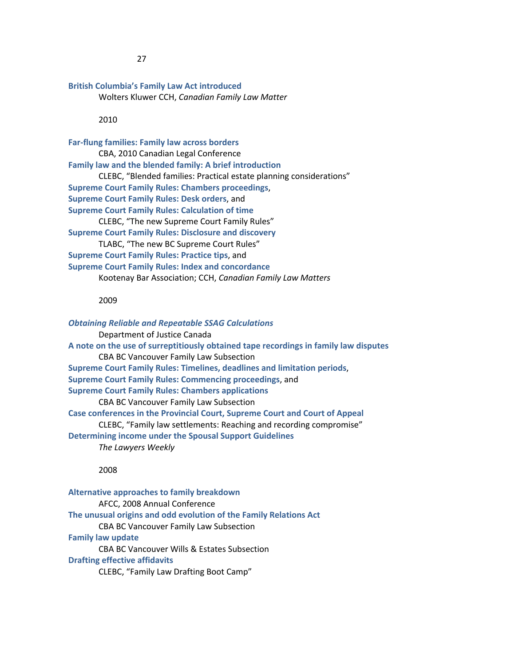#### **British Columbia's Family Law Act introduced**

Wolters Kluwer CCH, *Canadian Family Law Matter*

#### 2010

**Far-flung families: Family law across borders** CBA, 2010 Canadian Legal Conference **Family law and the blended family: A brief introduction** CLEBC, "Blended families: Practical estate planning considerations" **Supreme Court Family Rules: Chambers proceedings**, **Supreme Court Family Rules: Desk orders**, and **Supreme Court Family Rules: Calculation of time** CLEBC, "The new Supreme Court Family Rules" **Supreme Court Family Rules: Disclosure and discovery** TLABC, "The new BC Supreme Court Rules" **Supreme Court Family Rules: Practice tips**, and **Supreme Court Family Rules: Index and concordance** Kootenay Bar Association; CCH, *Canadian Family Law Matters*

### 2009

*Obtaining Reliable and Repeatable SSAG Calculations* Department of Justice Canada **A note on the use of surreptitiously obtained tape recordings in family law disputes** CBA BC Vancouver Family Law Subsection **Supreme Court Family Rules: Timelines, deadlines and limitation periods**, **Supreme Court Family Rules: Commencing proceedings**, and **Supreme Court Family Rules: Chambers applications** CBA BC Vancouver Family Law Subsection **Case conferences in the Provincial Court, Supreme Court and Court of Appeal** CLEBC, "Family law settlements: Reaching and recording compromise" **Determining income under the Spousal Support Guidelines** *The Lawyers Weekly*

2008

**Alternative approaches to family breakdown** AFCC, 2008 Annual Conference **The unusual origins and odd evolution of the Family Relations Act** CBA BC Vancouver Family Law Subsection **Family law update** CBA BC Vancouver Wills & Estates Subsection **Drafting effective affidavits** CLEBC, "Family Law Drafting Boot Camp"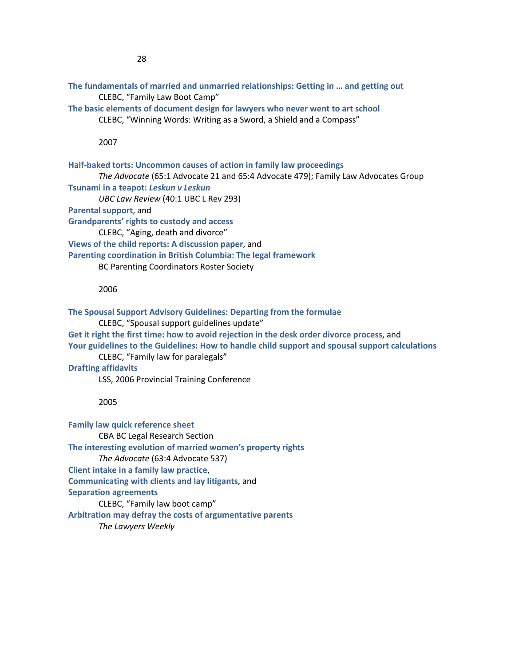**The fundamentals of married and unmarried relationships: Getting in … and getting out** CLEBC, "Family Law Boot Camp" **The basic elements of document design for lawyers who never went to art school**

CLEBC, "Winning Words: Writing as a Sword, a Shield and a Compass"

2007

**Half-baked torts: Uncommon causes of action in family law proceedings** *The Advocate* (65:1 Advocate 21 and 65:4 Advocate 479); Family Law Advocates Group **Tsunami in a teapot:** *Leskun v Leskun UBC Law Review* (40:1 UBC L Rev 293) **Parental support**, and **Grandparents' rights to custody and access** CLEBC, "Aging, death and divorce" **Views of the child reports: A discussion paper**, and **Parenting coordination in British Columbia: The legal framework** BC Parenting Coordinators Roster Society

#### 2006

**The Spousal Support Advisory Guidelines: Departing from the formulae** CLEBC, "Spousal support guidelines update" **Get it right the first time: how to avoid rejection in the desk order divorce process**, and **Your guidelines to the Guidelines: How to handle child support and spousal support calculations** CLEBC, "Family law for paralegals"

**Drafting affidavits**

LSS, 2006 Provincial Training Conference

#### 2005

**Family law quick reference sheet** CBA BC Legal Research Section **The interesting evolution of married women's property rights** *The Advocate* (63:4 Advocate 537) **Client intake in a family law practice**, **Communicating with clients and lay litigants**, and **Separation agreements** CLEBC, "Family law boot camp" **Arbitration may defray the costs of argumentative parents** *The Lawyers Weekly*